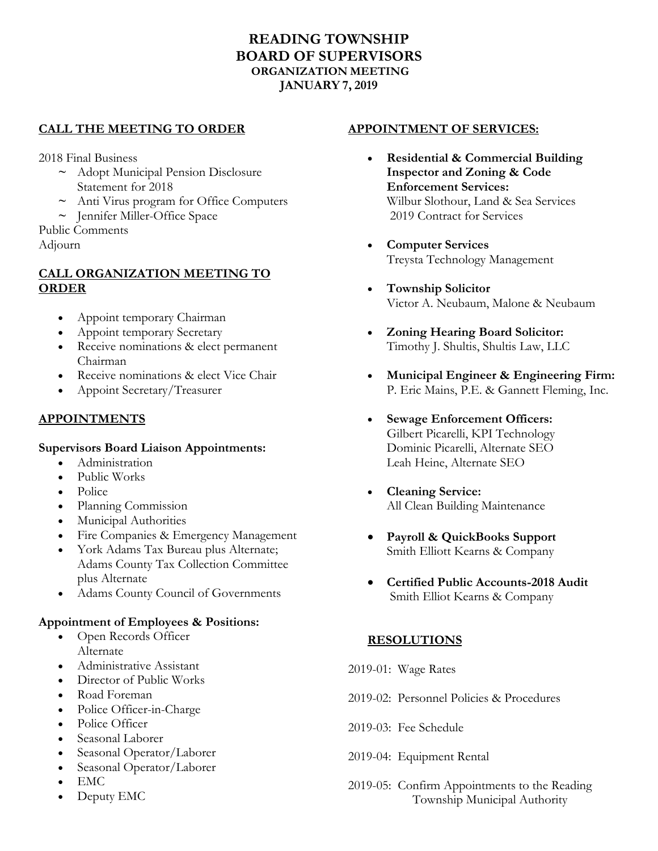# **READING TOWNSHIP BOARD OF SUPERVISORS ORGANIZATION MEETING JANUARY 7, 2019**

## **CALL THE MEETING TO ORDER**

2018 Final Business

- **~** Adopt Municipal Pension Disclosure Statement for 2018
- **~** Anti Virus program for Office Computers
- **~** Jennifer Miller-Office Space

Public Comments Adjourn

### **CALL ORGANIZATION MEETING TO ORDER**

- Appoint temporary Chairman
- Appoint temporary Secretary
- Receive nominations & elect permanent Chairman
- Receive nominations & elect Vice Chair
- Appoint Secretary/Treasurer

## **APPOINTMENTS**

#### **Supervisors Board Liaison Appointments:**

- Administration
- Public Works
- Police
- Planning Commission
- Municipal Authorities
- Fire Companies & Emergency Management
- York Adams Tax Bureau plus Alternate; Adams County Tax Collection Committee plus Alternate
- Adams County Council of Governments

#### **Appointment of Employees & Positions:**

- Open Records Officer Alternate
- Administrative Assistant
- Director of Public Works
- Road Foreman
- Police Officer-in-Charge
- Police Officer
- Seasonal Laborer
- Seasonal Operator/Laborer
- Seasonal Operator/Laborer
- EMC
- Deputy EMC

### **APPOINTMENT OF SERVICES:**

- **Residential & Commercial Building Inspector and Zoning & Code Enforcement Services:** Wilbur Slothour, Land & Sea Services 2019 Contract for Services
- **Computer Services** Treysta Technology Management
- **Township Solicitor** Victor A. Neubaum, Malone & Neubaum
- **Zoning Hearing Board Solicitor:** Timothy J. Shultis, Shultis Law, LLC
- **Municipal Engineer & Engineering Firm:**  P. Eric Mains, P.E. & Gannett Fleming, Inc.
- **Sewage Enforcement Officers:** Gilbert Picarelli, KPI Technology Dominic Picarelli, Alternate SEO Leah Heine, Alternate SEO
- **Cleaning Service:** All Clean Building Maintenance
- **Payroll & QuickBooks Support** Smith Elliott Kearns & Company
- **Certified Public Accounts-2018 Audit** Smith Elliot Kearns & Company

### **RESOLUTIONS**

- 2019-01: Wage Rates
- 2019-02: Personnel Policies & Procedures
- 2019-03: Fee Schedule
- 2019-04: Equipment Rental
- 2019-05: Confirm Appointments to the Reading Township Municipal Authority